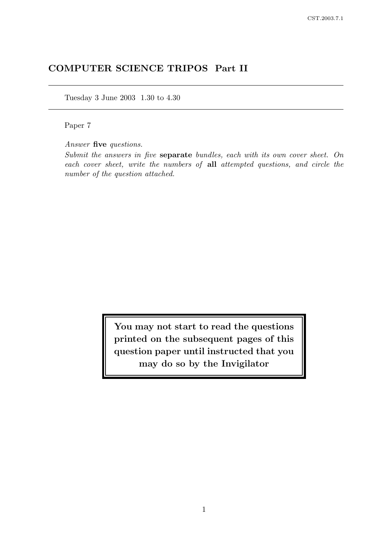# COMPUTER SCIENCE TRIPOS Part II

Tuesday 3 June 2003 1.30 to 4.30

Paper 7

Answer five questions.

Submit the answers in five separate bundles, each with its own cover sheet. On each cover sheet, write the numbers of all attempted questions, and circle the number of the question attached.

> You may not start to read the questions printed on the subsequent pages of this question paper until instructed that you may do so by the Invigilator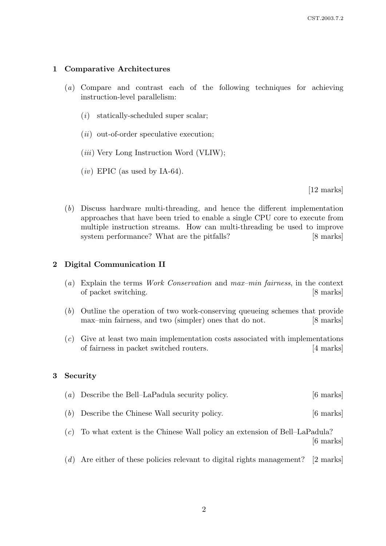#### 1 Comparative Architectures

- (a) Compare and contrast each of the following techniques for achieving instruction-level parallelism:
	- $(i)$  statically-scheduled super scalar;
	- $(ii)$  out-of-order speculative execution;
	- $(iii)$  Very Long Instruction Word (VLIW);
	- $(iv)$  EPIC (as used by IA-64).

[12 marks]

(b) Discuss hardware multi-threading, and hence the different implementation approaches that have been tried to enable a single CPU core to execute from multiple instruction streams. How can multi-threading be used to improve system performance? What are the pitfalls? [8 marks]

#### 2 Digital Communication II

- (a) Explain the terms Work Conservation and max–min fairness, in the context of packet switching. [8 marks]
- (b) Outline the operation of two work-conserving queueing schemes that provide max–min fairness, and two (simpler) ones that do not. [8 marks]
- (c) Give at least two main implementation costs associated with implementations of fairness in packet switched routers. [4 marks]

#### 3 Security

- (a) Describe the Bell–LaPadula security policy. [6 marks]
- (b) Describe the Chinese Wall security policy. [6 marks]
- (c) To what extent is the Chinese Wall policy an extension of Bell–LaPadula? [6 marks]
- (d) Are either of these policies relevant to digital rights management? [2 marks]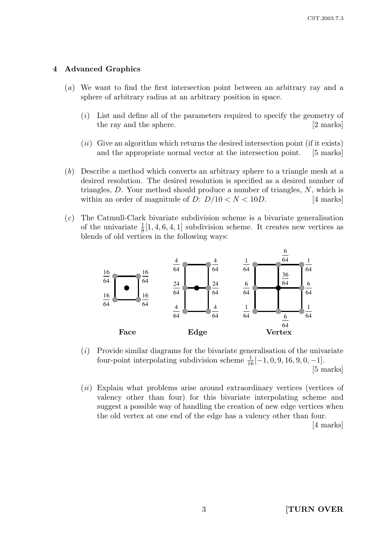## 4 Advanced Graphics

- (a) We want to find the first intersection point between an arbitrary ray and a sphere of arbitrary radius at an arbitrary position in space.
	- (i) List and define all of the parameters required to specify the geometry of the ray and the sphere. [2 marks]
	- $(ii)$  Give an algorithm which returns the desired intersection point (if it exists) and the appropriate normal vector at the intersection point. [5 marks]
- (b) Describe a method which converts an arbitrary sphere to a triangle mesh at a desired resolution. The desired resolution is specified as a desired number of triangles, D. Your method should produce a number of triangles, N, which is within an order of magnitude of  $D: D/10 < N < 10D$ . [4 marks]
- (c) The Catmull-Clark bivariate subdivision scheme is a bivariate generalisation of the univariate  $\frac{1}{8}[1, 4, 6, 4, 1]$  subdivision scheme. It creates new vertices as blends of old vertices in the following ways:



 $(i)$  Provide similar diagrams for the bivariate generalisation of the univariate four-point interpolating subdivision scheme  $\frac{1}{16}[-1, 0, 9, 16, 9, 0, -1]$ . [5 marks]

(*ii*) Explain what problems arise around extraordinary vertices (vertices of valency other than four) for this bivariate interpolating scheme and

suggest a possible way of handling the creation of new edge vertices when the old vertex at one end of the edge has a valency other than four. [4 marks]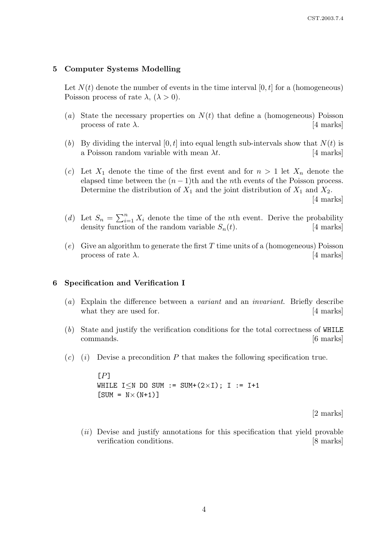#### 5 Computer Systems Modelling

Let  $N(t)$  denote the number of events in the time interval  $[0, t]$  for a (homogeneous) Poisson process of rate  $\lambda$ ,  $(\lambda > 0)$ .

- (a) State the necessary properties on  $N(t)$  that define a (homogeneous) Poisson process of rate  $\lambda$ . [4 marks]
- (b) By dividing the interval  $[0, t]$  into equal length sub-intervals show that  $N(t)$  is a Poisson random variable with mean  $\lambda t$ . [4 marks]
- (c) Let  $X_1$  denote the time of the first event and for  $n > 1$  let  $X_n$  denote the elapsed time between the  $(n-1)$ th and the *n*th events of the Poisson process. Determine the distribution of  $X_1$  and the joint distribution of  $X_1$  and  $X_2$ . [4 marks]
- (d) Let  $S_n = \sum_{i=1}^n X_i$  denote the time of the nth event. Derive the probability density function of the random variable  $S_n(t)$ . [4 marks]
- $(e)$  Give an algorithm to generate the first T time units of a (homogeneous) Poisson process of rate  $\lambda$ . [4 marks]

## 6 Specification and Verification I

- (a) Explain the difference between a variant and an invariant. Briefly describe what they are used for. [4 marks]
- (b) State and justify the verification conditions for the total correctness of WHILE commands. [6 marks]
- $(c)$  (i) Devise a precondition P that makes the following specification true.

 $[$ WHILE  $I \leq N$  DO SUM := SUM+(2×I); I := I+1  $[SUM = N \times (N+1)]$ 

[2 marks]

(ii) Devise and justify annotations for this specification that yield provable verification conditions. [8 marks]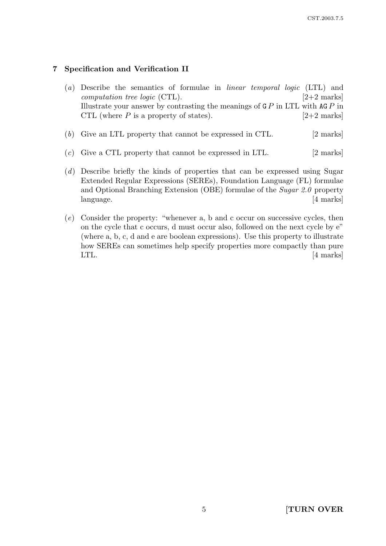# 7 Specification and Verification II

- (a) Describe the semantics of formulae in linear temporal logic (LTL) and computation tree logic (CTL).  $[2+2 \text{ marks}]$ Illustrate your answer by contrasting the meanings of  $\mathsf{G} P$  in LTL with  $\mathsf{AG} P$  in CTL (where  $P$  is a property of states).  $[2+2 \text{ marks}]$
- (b) Give an LTL property that cannot be expressed in CTL. [2 marks]
- $(c)$  Give a CTL property that cannot be expressed in LTL. [2 marks]
- (d) Describe briefly the kinds of properties that can be expressed using Sugar Extended Regular Expressions (SEREs), Foundation Language (FL) formulae and Optional Branching Extension (OBE) formulae of the Sugar 2.0 property language. [4 marks]
- (e) Consider the property: "whenever a, b and c occur on successive cycles, then on the cycle that c occurs, d must occur also, followed on the next cycle by e" (where a, b, c, d and e are boolean expressions). Use this property to illustrate how SEREs can sometimes help specify properties more compactly than pure LTL.  $[4 \text{ marks}]$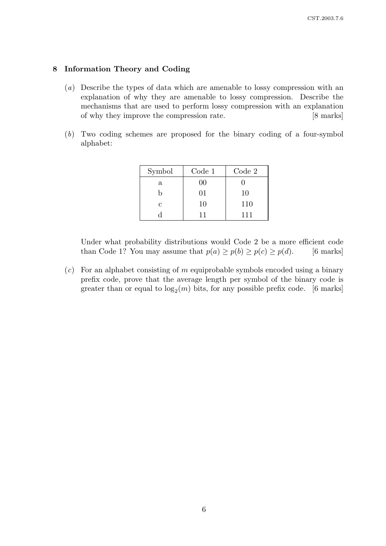#### 8 Information Theory and Coding

- (a) Describe the types of data which are amenable to lossy compression with an explanation of why they are amenable to lossy compression. Describe the mechanisms that are used to perform lossy compression with an explanation of why they improve the compression rate. [8 marks]
- (b) Two coding schemes are proposed for the binary coding of a four-symbol alphabet:

| Symbol | Code 1 | Code 2 |
|--------|--------|--------|
| a      | 00     |        |
|        | 01     | 10     |
| C      | 10     | 110    |
|        | 11     | 111    |

Under what probability distributions would Code 2 be a more efficient code than Code 1? You may assume that  $p(a) \geq p(b) \geq p(c) \geq p(d)$ . [6 marks]

 $(c)$  For an alphabet consisting of m equiprobable symbols encoded using a binary prefix code, prove that the average length per symbol of the binary code is greater than or equal to  $log_2(m)$  bits, for any possible prefix code. [6 marks]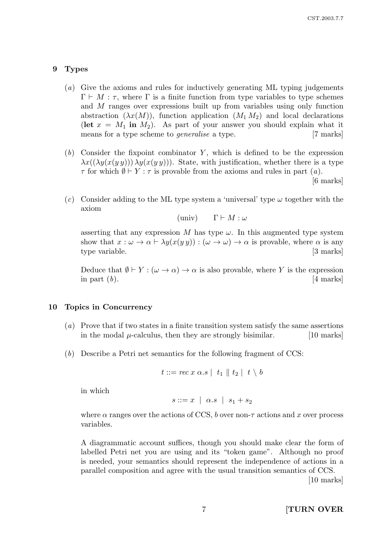#### 9 Types

- (a) Give the axioms and rules for inductively generating ML typing judgements  $\Gamma \vdash M : \tau$ , where  $\Gamma$  is a finite function from type variables to type schemes and M ranges over expressions built up from variables using only function abstraction  $(\lambda x(M))$ , function application  $(M_1 M_2)$  and local declarations (let  $x = M_1$  in  $M_2$ ). As part of your answer you should explain what it means for a type scheme to *generalise* a type. [7 marks]
- $(b)$  Consider the fixpoint combinator Y, which is defined to be the expression  $\lambda x((\lambda y(x(y y))) \lambda y(x(y y)))$ . State, with justification, whether there is a type  $\tau$  for which  $\emptyset \vdash Y : \tau$  is provable from the axioms and rules in part  $(a)$ . [6 marks]
- (c) Consider adding to the ML type system a 'universal' type  $\omega$  together with the axiom

$$
(\text{univ}) \qquad \Gamma \vdash M : \omega
$$

asserting that any expression M has type  $\omega$ . In this augmented type system show that  $x : \omega \to \alpha \vdash \lambda y(x(y y)) : (\omega \to \omega) \to \alpha$  is provable, where  $\alpha$  is any type variable. [3 marks]

Deduce that  $\emptyset \vdash Y : (\omega \to \alpha) \to \alpha$  is also provable, where Y is the expression in part  $(b)$ . [4 marks]

#### 10 Topics in Concurrency

- (a) Prove that if two states in a finite transition system satisfy the same assertions in the modal  $\mu$ -calculus, then they are strongly bisimilar. [10 marks]
- (b) Describe a Petri net semantics for the following fragment of CCS:

$$
t ::= rec \; x \; \alpha.s \mid t_1 \parallel t_2 \mid t \setminus b
$$

in which

$$
s ::= x \mid \alpha.s \mid s_1 + s_2
$$

where  $\alpha$  ranges over the actions of CCS, b over non- $\tau$  actions and x over process variables.

A diagrammatic account suffices, though you should make clear the form of labelled Petri net you are using and its "token game". Although no proof is needed, your semantics should represent the independence of actions in a parallel composition and agree with the usual transition semantics of CCS.

[10 marks]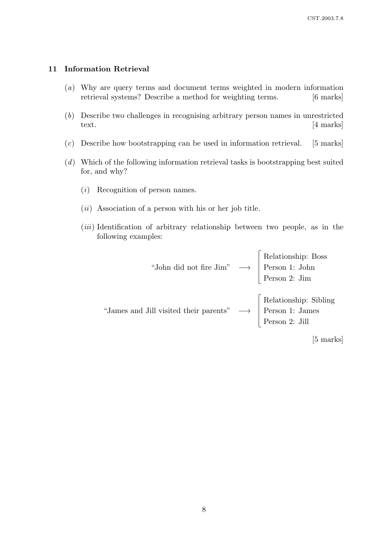## 11 Information Retrieval

- (a) Why are query terms and document terms weighted in modern information retrieval systems? Describe a method for weighting terms. [6 marks]
- (b) Describe two challenges in recognising arbitrary person names in unrestricted text. [4 marks]
- $(c)$  Describe how bootstrapping can be used in information retrieval. [5 marks]
- (d) Which of the following information retrieval tasks is bootstrapping best suited for, and why?
	- (i) Recognition of person names.
	- $(ii)$  Association of a person with his or her job title.
	- (*iii*) Identification of arbitrary relationship between two people, as in the following examples:

|  | $[5 \text{ marks}]$ |
|--|---------------------|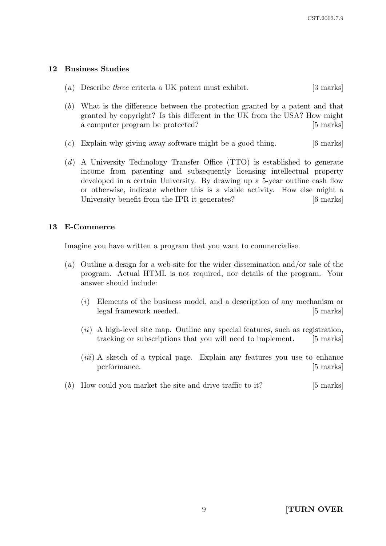# 12 Business Studies

- (a) Describe three criteria a UK patent must exhibit. [3 marks]
- (b) What is the difference between the protection granted by a patent and that granted by copyright? Is this different in the UK from the USA? How might a computer program be protected? [5 marks]
- $(c)$  Explain why giving away software might be a good thing. [6 marks]
- (d) A University Technology Transfer Office (TTO) is established to generate income from patenting and subsequently licensing intellectual property developed in a certain University. By drawing up a 5-year outline cash flow or otherwise, indicate whether this is a viable activity. How else might a University benefit from the IPR it generates? [6 marks]

# 13 E-Commerce

Imagine you have written a program that you want to commercialise.

- (a) Outline a design for a web-site for the wider dissemination and/or sale of the program. Actual HTML is not required, nor details of the program. Your answer should include:
	- (i) Elements of the business model, and a description of any mechanism or legal framework needed. [5 marks]
	- $(ii)$  A high-level site map. Outline any special features, such as registration, tracking or subscriptions that you will need to implement. [5 marks]
	- $(iii)$  A sketch of a typical page. Explain any features you use to enhance performance. [5 marks]
- (b) How could you market the site and drive traffic to it? [5 marks]